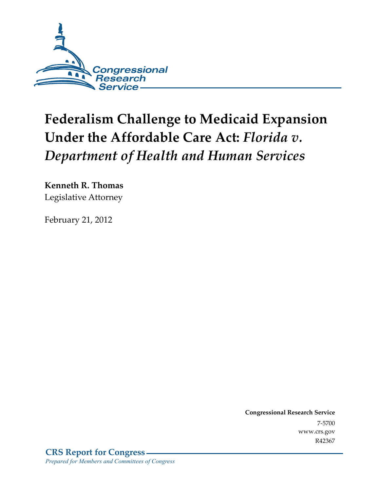

# **Federalism Challenge to Medicaid Expansion Under the Affordable Care Act:** *Florida v. Department of Health and Human Services*

**Kenneth R. Thomas**  Legislative Attorney

February 21, 2012

**Congressional Research Service**  7-5700 www.crs.gov R42367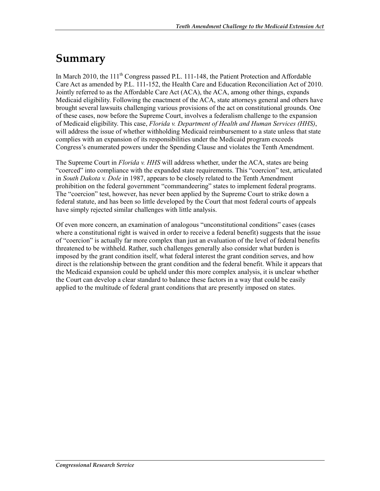### **Summary**

In March 2010, the  $111<sup>th</sup>$  Congress passed P.L. 111-148, the Patient Protection and Affordable Care Act as amended by P.L. 111-152, the Health Care and Education Reconciliation Act of 2010. Jointly referred to as the Affordable Care Act (ACA), the ACA, among other things, expands Medicaid eligibility. Following the enactment of the ACA, state attorneys general and others have brought several lawsuits challenging various provisions of the act on constitutional grounds. One of these cases, now before the Supreme Court, involves a federalism challenge to the expansion of Medicaid eligibility. This case, *Florida v. Department of Health and Human Services (HHS)*, will address the issue of whether withholding Medicaid reimbursement to a state unless that state complies with an expansion of its responsibilities under the Medicaid program exceeds Congress's enumerated powers under the Spending Clause and violates the Tenth Amendment.

The Supreme Court in *Florida v. HHS* will address whether, under the ACA, states are being "coerced" into compliance with the expanded state requirements. This "coercion" test, articulated in *South Dakota v. Dole* in 1987, appears to be closely related to the Tenth Amendment prohibition on the federal government "commandeering" states to implement federal programs. The "coercion" test, however, has never been applied by the Supreme Court to strike down a federal statute, and has been so little developed by the Court that most federal courts of appeals have simply rejected similar challenges with little analysis.

Of even more concern, an examination of analogous "unconstitutional conditions" cases (cases where a constitutional right is waived in order to receive a federal benefit) suggests that the issue of "coercion" is actually far more complex than just an evaluation of the level of federal benefits threatened to be withheld. Rather, such challenges generally also consider what burden is imposed by the grant condition itself, what federal interest the grant condition serves, and how direct is the relationship between the grant condition and the federal benefit. While it appears that the Medicaid expansion could be upheld under this more complex analysis, it is unclear whether the Court can develop a clear standard to balance these factors in a way that could be easily applied to the multitude of federal grant conditions that are presently imposed on states.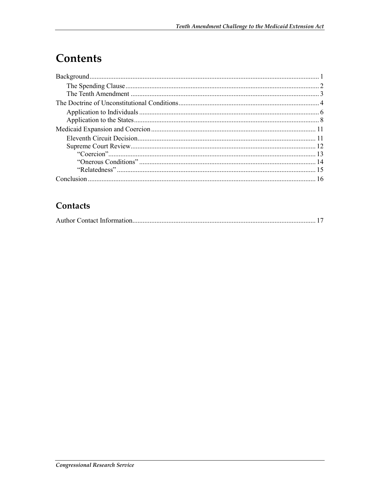# Contents

### Contacts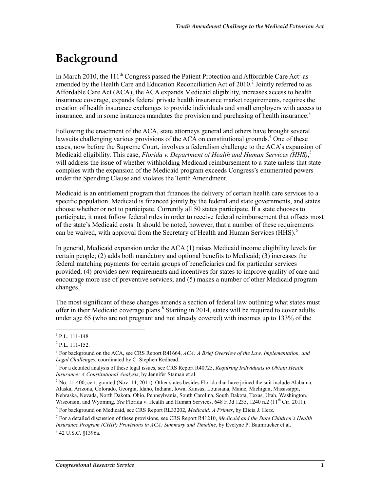# **Background**

In March 2010, the 111<sup>th</sup> Congress passed the Patient Protection and Affordable Care Act<sup>1</sup> as amended by the Health Care and Education Reconciliation Act of 2010.<sup>2</sup> Jointly referred to as Affordable Care Act (ACA), the ACA expands Medicaid eligibility, increases access to health insurance coverage, expands federal private health insurance market requirements, requires the creation of health insurance exchanges to provide individuals and small employers with access to insurance, and in some instances mandates the provision and purchasing of health insurance.<sup>3</sup>

Following the enactment of the ACA, state attorneys general and others have brought several lawsuits challenging various provisions of the ACA on constitutional grounds.<sup>4</sup> One of these cases, now before the Supreme Court, involves a federalism challenge to the ACA's expansion of Medicaid eligibility. This case, *Florida v. Department of Health and Human Services (HHS)*, 5 will address the issue of whether withholding Medicaid reimbursement to a state unless that state complies with the expansion of the Medicaid program exceeds Congress's enumerated powers under the Spending Clause and violates the Tenth Amendment.

Medicaid is an entitlement program that finances the delivery of certain health care services to a specific population. Medicaid is financed jointly by the federal and state governments, and states choose whether or not to participate. Currently all 50 states participate. If a state chooses to participate, it must follow federal rules in order to receive federal reimbursement that offsets most of the state's Medicaid costs. It should be noted, however, that a number of these requirements can be waived, with approval from the Secretary of Health and Human Services (HHS). $^6$ 

In general, Medicaid expansion under the ACA (1) raises Medicaid income eligibility levels for certain people; (2) adds both mandatory and optional benefits to Medicaid; (3) increases the federal matching payments for certain groups of beneficiaries and for particular services provided; (4) provides new requirements and incentives for states to improve quality of care and encourage more use of preventive services; and (5) makes a number of other Medicaid program changes.<sup>7</sup>

The most significant of these changes amends a section of federal law outlining what states must offer in their Medicaid coverage plans.<sup>8</sup> Starting in 2014, states will be required to cover adults under age 65 (who are not pregnant and not already covered) with incomes up to 133% of the

<sup>&</sup>lt;u>.</u>  $1$  P.L. 111-148.

 $2$  P.L. 111-152.

<sup>3</sup> For background on the ACA, see CRS Report R41664, *ACA: A Brief Overview of the Law, Implementation, and Legal Challenges*, coordinated by C. Stephen Redhead.

<sup>4</sup> For a detailed analysis of these legal issues, see CRS Report R40725, *Requiring Individuals to Obtain Health Insurance: A Constitutional Analysis*, by Jennifer Staman et al.

 $<sup>5</sup>$  No. 11-400, cert. granted (Nov. 14, 2011). Other states besides Florida that have joined the suit include Alabama,</sup> Alaska, Arizona, Colorado, Georgia, Idaho, Indiana, Iowa, Kansas, Louisiana, Maine, Michigan, Mississippi, Nebraska, Nevada, North Dakota, Ohio, Pennsylvania, South Carolina, South Dakota, Texas, Utah, Washington, Wisconsin, and Wyoming. *See* Florida v. Health and Human Services, 648 F.3d 1235, 1240 n.2 (11<sup>th</sup> Cir. 2011).

<sup>6</sup> For background on Medicaid, see CRS Report RL33202, *Medicaid: A Primer*, by Elicia J. Herz.

<sup>7</sup> For a detailed discussion of these provisions, see CRS Report R41210, *Medicaid and the State Children's Health Insurance Program (CHIP) Provisions in ACA: Summary and Timeline*, by Evelyne P. Baumrucker et al. 8 42 U.S.C. §1396a.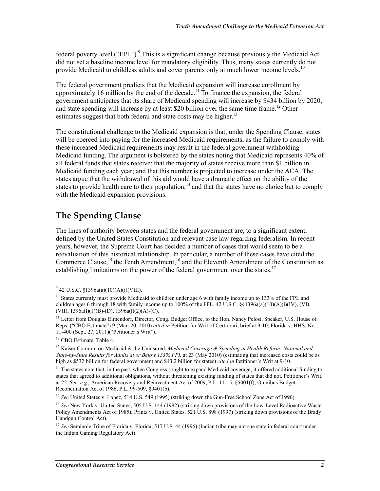federal poverty level ("FPL").<sup>9</sup> This is a significant change because previously the Medicaid Act did not set a baseline income level for mandatory eligibility. Thus, many states currently do not provide Medicaid to childless adults and cover parents only at much lower income levels.<sup>10</sup>

The federal government predicts that the Medicaid expansion will increase enrollment by approximately 16 million by the end of the decade.<sup>11</sup> To finance the expansion, the federal government anticipates that its share of Medicaid spending will increase by \$434 billion by 2020, and state spending will increase by at least \$20 billion over the same time frame.<sup>12</sup> Other estimates suggest that both federal and state costs may be higher.<sup>13</sup>

The constitutional challenge to the Medicaid expansion is that, under the Spending Clause, states will be coerced into paying for the increased Medicaid requirements, as the failure to comply with these increased Medicaid requirements may result in the federal government withholding Medicaid funding. The argument is bolstered by the states noting that Medicaid represents 40% of all federal funds that states receive; that the majority of states receive more than \$1 billion in Medicaid funding each year; and that this number is projected to increase under the ACA. The states argue that the withdrawal of this aid would have a dramatic effect on the ability of the states to provide health care to their population,<sup>14</sup> and that the states have no choice but to comply with the Medicaid expansion provisions.

### **The Spending Clause**

The lines of authority between states and the federal government are, to a significant extent, defined by the United States Constitution and relevant case law regarding federalism. In recent years, however, the Supreme Court has decided a number of cases that would seem to be a reevaluation of this historical relationship. In particular, a number of these cases have cited the Commerce Clause,<sup>15</sup> the Tenth Amendment,<sup>16</sup> and the Eleventh Amendment of the Constitution as establishing limitations on the power of the federal government over the states.<sup>17</sup>

 9 42 U.S.C. §1396a(a)(10)(A)(i)(VIII).

 $10$  States currently must provide Medicaid to children under age 6 with family income up to 133% of the FPL and children ages 6 through 18 with family income up to  $100\%$  of the FPL. 42 U.S.C. §§1396a(a)(10)(A)(i)(IV), (VI), (VII),  $1396a(1)(1)(B)-(D)$ ,  $1396a(1)(2)(A)-(C)$ .

<sup>&</sup>lt;sup>11</sup> Letter from Douglas Elmendorf, Director, Cong. Budget Office, to the Hon. Nancy Pelosi, Speaker, U.S. House of Reps. ("CBO Estimate") 9 (Mar. 20, 2010) *cited in* Petition for Writ of Certiorari, brief at 9-10, Florida v. HHS, No. 11-400 (Sept. 27, 2011)("Petitioner's Writ").

<sup>&</sup>lt;sup>12</sup> CBO Estimate, Table 4.

<sup>13</sup> Kaiser Comm'n on Medicaid & the Uninsured, *Medicaid Coverage & Spending in Health Reform: National and State-by-State Results for Adults at or Below 133% FPL* at 23 (May 2010) (estimating that increased costs could be as high as \$532 billion for federal government and \$43.2 billion for states) *cited in* Petitioner's Writ at 9-10.

 $14$  The states note that, in the past, when Congress sought to expand Medicaid coverage, it offered additional funding to states that agreed to additional obligations, without threatening existing funding of states that did not. Petitioner's Writ. at 22. *See, e.g.,* American Recovery and Reinvestment Act of 2009, P.L. 111-5, §5001(f); Omnibus Budget Reconciliation Act of 1986, P.L. 99-509, §9401(b).

<sup>&</sup>lt;sup>15</sup> See United States v. Lopez, 514 U.S. 549 (1995) (striking down the Gun-Free School Zone Act of 1990).

<sup>16</sup> *See* New York v. United States, 505 U.S. 144 (1992) (striking down provisions of the Low-Level Radioactive Waste Policy Amendments Act of 1985); Printz v. United States, 521 U.S. 898 (1997) (striking down provisions of the Brady Handgun Control Act).

<sup>&</sup>lt;sup>17</sup> See Seminole Tribe of Florida v. Florida, 517 U.S. 44 (1996) (Indian tribe may not sue state in federal court under the Indian Gaming Regulatory Act).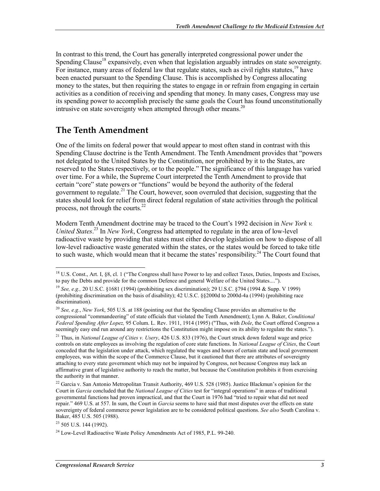In contrast to this trend, the Court has generally interpreted congressional power under the Spending Clause<sup>18</sup> expansively, even when that legislation arguably intrudes on state sovereignty. For instance, many areas of federal law that regulate states, such as civil rights statutes,  $\frac{19}{9}$  have been enacted pursuant to the Spending Clause. This is accomplished by Congress allocating money to the states, but then requiring the states to engage in or refrain from engaging in certain activities as a condition of receiving and spending that money. In many cases, Congress may use its spending power to accomplish precisely the same goals the Court has found unconstitutionally intrusive on state sovereignty when attempted through other means.<sup>20</sup>

#### **The Tenth Amendment**

One of the limits on federal power that would appear to most often stand in contrast with this Spending Clause doctrine is the Tenth Amendment. The Tenth Amendment provides that "powers not delegated to the United States by the Constitution, nor prohibited by it to the States, are reserved to the States respectively, or to the people." The significance of this language has varied over time. For a while, the Supreme Court interpreted the Tenth Amendment to provide that certain "core" state powers or "functions" would be beyond the authority of the federal government to regulate.<sup>21</sup> The Court, however, soon overruled that decision, suggesting that the states should look for relief from direct federal regulation of state activities through the political process, not through the courts. $^{22}$ 

Modern Tenth Amendment doctrine may be traced to the Court's 1992 decision in *New York v. United States*. 23 In *New York*, Congress had attempted to regulate in the area of low-level radioactive waste by providing that states must either develop legislation on how to dispose of all low-level radioactive waste generated within the states, or the states would be forced to take title to such waste, which would mean that it became the states' responsibility.<sup>24</sup> The Court found that

 $^{18}$  U.S. Const., Art. I, §8, cl. 1 ("The Congress shall have Power to lay and collect Taxes, Duties, Imposts and Excises, to pay the Debts and provide for the common Defence and general Welfare of the United States....").

<sup>19</sup> *See, e.g.,* 20 U.S.C. §1681 (1994) (prohibiting sex discrimination); 29 U.S.C. §794 (1994 & Supp. V 1999) (prohibiting discrimination on the basis of disability); 42 U.S.C. §§2000d to 2000d-4a (1994) (prohibiting race discrimination).

<sup>20</sup> *See, e.g.*, *New York*, 505 U.S. at 188 (pointing out that the Spending Clause provides an alternative to the congressional "commandeering" of state officials that violated the Tenth Amendment); Lynn A. Baker, *Conditional Federal Spending After Lopez,* 95 Colum. L. Rev. 1911, 1914 (1995) ("Thus, with *Dole*, the Court offered Congress a seemingly easy end run around any restrictions the Constitution might impose on its ability to regulate the states.").

<sup>21</sup> Thus, in *National League of Cities v. Usery*, 426 U.S. 833 (1976), the Court struck down federal wage and price controls on state employees as involving the regulation of core state functions. In *National League of Cities*, the Court conceded that the legislation under attack, which regulated the wages and hours of certain state and local government employees, was within the scope of the Commerce Clause, but it cautioned that there are attributes of sovereignty attaching to every state government which may not be impaired by Congress, not because Congress may lack an affirmative grant of legislative authority to reach the matter, but because the Constitution prohibits it from exercising the authority in that manner.

<sup>&</sup>lt;sup>22</sup> Garcia v. San Antonio Metropolitan Transit Authority, 469 U.S. 528 (1985). Justice Blackmun's opinion for the Court in *Garcia* concluded that the *National League of Cities* test for "integral operations" in areas of traditional governmental functions had proven impractical, and that the Court in 1976 had "tried to repair what did not need repair." 469 U.S. at 557. In sum, the Court in *Garcia* seems to have said that most disputes over the effects on state sovereignty of federal commerce power legislation are to be considered political questions. *See also* South Carolina v. Baker, 485 U.S. 505 (1988).

 $23$  505 U.S. 144 (1992).

 $^{24}$  Low-Level Radioactive Waste Policy Amendments Act of 1985, P.L. 99-240.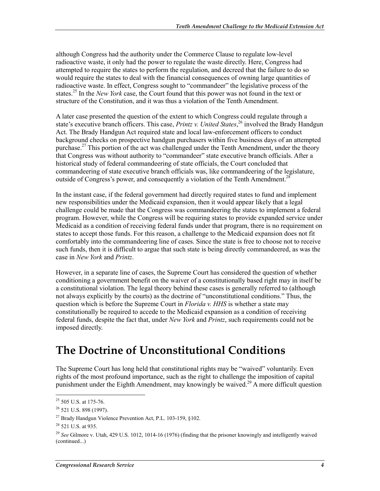although Congress had the authority under the Commerce Clause to regulate low-level radioactive waste, it only had the power to regulate the waste directly. Here, Congress had attempted to require the states to perform the regulation, and decreed that the failure to do so would require the states to deal with the financial consequences of owning large quantities of radioactive waste. In effect, Congress sought to "commandeer" the legislative process of the states.25 In the *New York* case, the Court found that this power was not found in the text or structure of the Constitution, and it was thus a violation of the Tenth Amendment.

A later case presented the question of the extent to which Congress could regulate through a state's executive branch officers. This case, *Printz v. United States*, 26 involved the Brady Handgun Act. The Brady Handgun Act required state and local law-enforcement officers to conduct background checks on prospective handgun purchasers within five business days of an attempted purchase.<sup>27</sup> This portion of the act was challenged under the Tenth Amendment, under the theory that Congress was without authority to "commandeer" state executive branch officials. After a historical study of federal commandeering of state officials, the Court concluded that commandeering of state executive branch officials was, like commandeering of the legislature, outside of Congress's power, and consequently a violation of the Tenth Amendment.<sup>28</sup>

In the instant case, if the federal government had directly required states to fund and implement new responsibilities under the Medicaid expansion, then it would appear likely that a legal challenge could be made that the Congress was commandeering the states to implement a federal program. However, while the Congress will be requiring states to provide expanded service under Medicaid as a condition of receiving federal funds under that program, there is no requirement on states to accept those funds. For this reason, a challenge to the Medicaid expansion does not fit comfortably into the commandeering line of cases. Since the state is free to choose not to receive such funds, then it is difficult to argue that such state is being directly commandeered, as was the case in *New York* and *Printz*.

However, in a separate line of cases, the Supreme Court has considered the question of whether conditioning a government benefit on the waiver of a constitutionally based right may in itself be a constitutional violation. The legal theory behind these cases is generally referred to (although not always explicitly by the courts) as the doctrine of "unconstitutional conditions." Thus, the question which is before the Supreme Court in *Florida v. HHS* is whether a state may constitutionally be required to accede to the Medicaid expansion as a condition of receiving federal funds, despite the fact that, under *New York* and *Printz*, such requirements could not be imposed directly.

### **The Doctrine of Unconstitutional Conditions**

The Supreme Court has long held that constitutional rights may be "waived" voluntarily. Even rights of the most profound importance, such as the right to challenge the imposition of capital punishment under the Eighth Amendment, may knowingly be waived.<sup>29</sup> A more difficult question

 $25$  505 U.S. at 175-76.

<sup>&</sup>lt;sup>26</sup> 521 U.S. 898 (1997).

<sup>&</sup>lt;sup>27</sup> Brady Handgun Violence Prevention Act, P.L. 103-159,  $§102$ .

<sup>28 521</sup> U.S. at 935.

<sup>29</sup> *See* Gilmore v. Utah, 429 U.S. 1012, 1014-16 (1976) (finding that the prisoner knowingly and intelligently waived (continued...)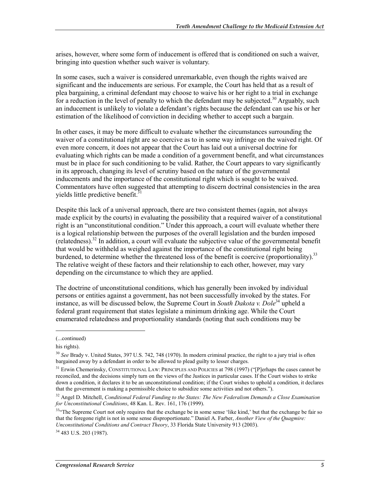arises, however, where some form of inducement is offered that is conditioned on such a waiver, bringing into question whether such waiver is voluntary.

In some cases, such a waiver is considered unremarkable, even though the rights waived are significant and the inducements are serious. For example, the Court has held that as a result of plea bargaining, a criminal defendant may choose to waive his or her right to a trial in exchange for a reduction in the level of penalty to which the defendant may be subjected.<sup>30</sup> Arguably, such an inducement is unlikely to violate a defendant's rights because the defendant can use his or her estimation of the likelihood of conviction in deciding whether to accept such a bargain.

In other cases, it may be more difficult to evaluate whether the circumstances surrounding the waiver of a constitutional right are so coercive as to in some way infringe on the waived right. Of even more concern, it does not appear that the Court has laid out a universal doctrine for evaluating which rights can be made a condition of a government benefit, and what circumstances must be in place for such conditioning to be valid. Rather, the Court appears to vary significantly in its approach, changing its level of scrutiny based on the nature of the governmental inducements and the importance of the constitutional right which is sought to be waived. Commentators have often suggested that attempting to discern doctrinal consistencies in the area yields little predictive benefit. $31$ 

Despite this lack of a universal approach, there are two consistent themes (again, not always made explicit by the courts) in evaluating the possibility that a required waiver of a constitutional right is an "unconstitutional condition." Under this approach, a court will evaluate whether there is a logical relationship between the purposes of the overall legislation and the burden imposed (relatedness).32 In addition, a court will evaluate the subjective value of the governmental benefit that would be withheld as weighed against the importance of the constitutional right being burdened, to determine whether the threatened loss of the benefit is coercive (proportionality).<sup>33</sup> The relative weight of these factors and their relationship to each other, however, may vary depending on the circumstance to which they are applied.

The doctrine of unconstitutional conditions, which has generally been invoked by individual persons or entities against a government, has not been successfully invoked by the states. For instance, as will be discussed below, the Supreme Court in *South Dakota v. Dole*<sup>34</sup> upheld a federal grant requirement that states legislate a minimum drinking age. While the Court enumerated relatedness and proportionality standards (noting that such conditions may be

 $\overline{\phantom{a}}$ 

<sup>(...</sup>continued)

his rights).

<sup>30</sup> *See* Brady v. United States, 397 U.S. 742, 748 (1970). In modern criminal practice, the right to a jury trial is often bargained away by a defendant in order to be allowed to plead guilty to lesser charges.

<sup>&</sup>lt;sup>31</sup> Erwin Chemerinsky, CONSTITUTIONAL LAW: PRINCIPLES AND POLICIES at 798 (1997) ("[P]erhaps the cases cannot be reconciled, and the decisions simply turn on the views of the Justices in particular cases. If the Court wishes to strike down a condition, it declares it to be an unconstitutional condition; if the Court wishes to uphold a condition, it declares that the government is making a permissible choice to subsidize some activities and not others.").

<sup>32</sup> Angel D. Mitchell, *Conditional Federal Funding to the States: The New Federalism Demands a Close Examination for Unconstitutional Conditions*, 48 Kan. L. Rev. 161, 176 (1999).

<sup>&</sup>lt;sup>334</sup>The Supreme Court not only requires that the exchange be in some sense 'like kind,' but that the exchange be fair so that the foregone right is not in some sense disproportionate." Daniel A. Farber, *Another View of the Quagmire: Unconstitutional Conditions and Contract Theory*, 33 Florida State University 913 (2003).

<sup>34 483</sup> U.S. 203 (1987).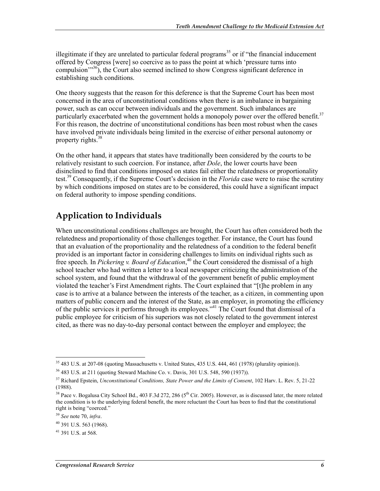illegitimate if they are unrelated to particular federal programs<sup>35</sup> or if "the financial inducement" offered by Congress [were] so coercive as to pass the point at which 'pressure turns into compulsion'"36), the Court also seemed inclined to show Congress significant deference in establishing such conditions.

One theory suggests that the reason for this deference is that the Supreme Court has been most concerned in the area of unconstitutional conditions when there is an imbalance in bargaining power, such as can occur between individuals and the government. Such imbalances are particularly exacerbated when the government holds a monopoly power over the offered benefit.<sup>37</sup> For this reason, the doctrine of unconstitutional conditions has been most robust when the cases have involved private individuals being limited in the exercise of either personal autonomy or property rights. $38$ 

On the other hand, it appears that states have traditionally been considered by the courts to be relatively resistant to such coercion. For instance, after *Dole*, the lower courts have been disinclined to find that conditions imposed on states fail either the relatedness or proportionality test.39 Consequently, if the Supreme Court's decision in the *Florida* case were to raise the scrutiny by which conditions imposed on states are to be considered, this could have a significant impact on federal authority to impose spending conditions.

### **Application to Individuals**

When unconstitutional conditions challenges are brought, the Court has often considered both the relatedness and proportionality of those challenges together. For instance, the Court has found that an evaluation of the proportionality and the relatedness of a condition to the federal benefit provided is an important factor in considering challenges to limits on individual rights such as free speech. In *Pickering v. Board of Education*,<sup>40</sup> the Court considered the dismissal of a high school teacher who had written a letter to a local newspaper criticizing the administration of the school system, and found that the withdrawal of the government benefit of public employment violated the teacher's First Amendment rights. The Court explained that "[t]he problem in any case is to arrive at a balance between the interests of the teacher, as a citizen, in commenting upon matters of public concern and the interest of the State, as an employer, in promoting the efficiency of the public services it performs through its employees."<sup>41</sup> The Court found that dismissal of a public employee for criticism of his superiors was not closely related to the government interest cited, as there was no day-to-day personal contact between the employer and employee; the

<sup>&</sup>lt;sup>35</sup> 483 U.S. at 207-08 (quoting Massachusetts v. United States, 435 U.S. 444, 461 (1978) (plurality opinion)).

<sup>36 483</sup> U.S. at 211 (quoting Steward Machine Co. v. Davis, 301 U.S. 548, 590 (1937)).

<sup>&</sup>lt;sup>37</sup> Richard Epstein, *Unconstitutional Conditions, State Power and the Limits of Consent*, 102 Harv. L. Rev. 5, 21-22 (1988).

<sup>&</sup>lt;sup>38</sup> Pace v. Bogalusa City School Bd., 403 F.3d 272, 286 (5<sup>th</sup> Cir. 2005). However, as is discussed later, the more related the condition is to the underlying federal benefit, the more reluctant the Court has been to find that the constitutional right is being "coerced."

<sup>39</sup> *See* note 70, *infra*.

 $40$  391 U.S. 563 (1968).

<sup>41 391</sup> U.S. at 568.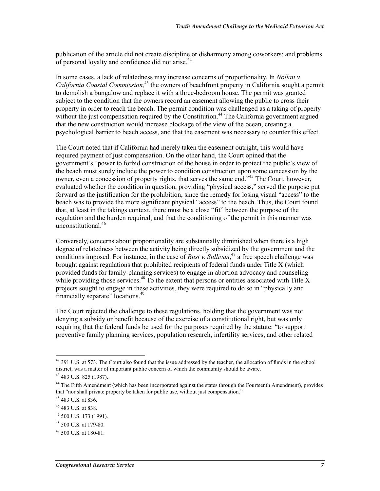publication of the article did not create discipline or disharmony among coworkers; and problems of personal loyalty and confidence did not arise.<sup>42</sup>

In some cases, a lack of relatedness may increase concerns of proportionality. In *Nollan v. California Coastal Commission*<sup>43</sup> the owners of beachfront property in California sought a permit to demolish a bungalow and replace it with a three-bedroom house. The permit was granted subject to the condition that the owners record an easement allowing the public to cross their property in order to reach the beach. The permit condition was challenged as a taking of property without the just compensation required by the Constitution.<sup>44</sup> The California government argued that the new construction would increase blockage of the view of the ocean, creating a psychological barrier to beach access, and that the easement was necessary to counter this effect.

The Court noted that if California had merely taken the easement outright, this would have required payment of just compensation. On the other hand, the Court opined that the government's "power to forbid construction of the house in order to protect the public's view of the beach must surely include the power to condition construction upon some concession by the owner, even a concession of property rights, that serves the same end."45 The Court, however, evaluated whether the condition in question, providing "physical access," served the purpose put forward as the justification for the prohibition, since the remedy for losing visual "access" to the beach was to provide the more significant physical "access" to the beach. Thus, the Court found that, at least in the takings context, there must be a close "fit" between the purpose of the regulation and the burden required, and that the conditioning of the permit in this manner was unconstitutional.<sup>46</sup>

Conversely, concerns about proportionality are substantially diminished when there is a high degree of relatedness between the activity being directly subsidized by the government and the conditions imposed. For instance, in the case of *Rust v. Sullivan*, 47 a free speech challenge was brought against regulations that prohibited recipients of federal funds under Title X (which provided funds for family-planning services) to engage in abortion advocacy and counseling while providing those services.<sup>48</sup> To the extent that persons or entities associated with Title  $\bar{X}$ projects sought to engage in these activities, they were required to do so in "physically and financially separate" locations.<sup>49</sup>

The Court rejected the challenge to these regulations, holding that the government was not denying a subsidy or benefit because of the exercise of a constitutional right, but was only requiring that the federal funds be used for the purposes required by the statute: "to support preventive family planning services, population research, infertility services, and other related

 $42$  391 U.S. at 573. The Court also found that the issue addressed by the teacher, the allocation of funds in the school district, was a matter of important public concern of which the community should be aware.

<sup>43 483</sup> U.S. 825 (1987).

<sup>&</sup>lt;sup>44</sup> The Fifth Amendment (which has been incorporated against the states through the Fourteenth Amendment), provides that "nor shall private property be taken for public use, without just compensation."

<sup>45 483</sup> U.S. at 836.

<sup>46 483</sup> U.S. at 838.

<sup>47 500</sup> U.S. 173 (1991).

<sup>48 500</sup> U.S. at 179-80.

<sup>49 500</sup> U.S. at 180-81.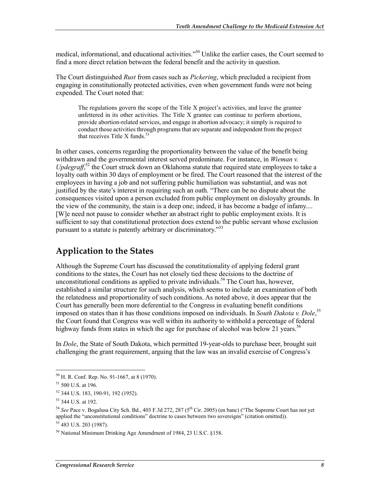medical, informational, and educational activities.<sup>550</sup> Unlike the earlier cases, the Court seemed to find a more direct relation between the federal benefit and the activity in question.

The Court distinguished *Rust* from cases such as *Pickering*, which precluded a recipient from engaging in constitutionally protected activities, even when government funds were not being expended. The Court noted that:

The regulations govern the scope of the Title X project's activities, and leave the grantee unfettered in its other activities. The Title X grantee can continue to perform abortions, provide abortion-related services, and engage in abortion advocacy; it simply is required to conduct those activities through programs that are separate and independent from the project that receives Title X funds. $51$ 

In other cases, concerns regarding the proportionality between the value of the benefit being withdrawn and the governmental interest served predominate. For instance, in *Wieman v.*  Updegraff,<sup>52</sup> the Court struck down an Oklahoma statute that required state employees to take a loyalty oath within 30 days of employment or be fired. The Court reasoned that the interest of the employees in having a job and not suffering public humiliation was substantial, and was not justified by the state's interest in requiring such an oath. "There can be no dispute about the consequences visited upon a person excluded from public employment on disloyalty grounds. In the view of the community, the stain is a deep one; indeed, it has become a badge of infamy.... [W]e need not pause to consider whether an abstract right to public employment exists. It is sufficient to say that constitutional protection does extend to the public servant whose exclusion pursuant to a statute is patently arbitrary or discriminatory."53

#### **Application to the States**

Although the Supreme Court has discussed the constitutionality of applying federal grant conditions to the states, the Court has not closely tied these decisions to the doctrine of unconstitutional conditions as applied to private individuals.<sup>54</sup> The Court has, however, established a similar structure for such analysis, which seems to include an examination of both the relatedness and proportionality of such conditions. As noted above, it does appear that the Court has generally been more deferential to the Congress in evaluating benefit conditions imposed on states than it has those conditions imposed on individuals. In *South Dakota v. Dole*, 55 the Court found that Congress was well within its authority to withhold a percentage of federal highway funds from states in which the age for purchase of alcohol was below 21 years.<sup>56</sup>

In *Dole*, the State of South Dakota, which permitted 19-year-olds to purchase beer, brought suit challenging the grant requirement, arguing that the law was an invalid exercise of Congress's

<sup>50</sup> H. R. Conf. Rep. No. 91-1667, at 8 (1970).

<sup>51 500</sup> U.S. at 196.

<sup>52 344</sup> U.S. 183, 190-91, 192 (1952).

<sup>53 344</sup> U.S. at 192.

<sup>&</sup>lt;sup>54</sup> See Pace v. Bogalusa City Sch. Bd., 403 F.3d 272, 287 (5<sup>th</sup> Cir. 2005) (en banc) ("The Supreme Court has not yet applied the "unconstitutional conditions" doctrine to cases between two sovereigns" (citation omitted)). 55 483 U.S. 203 (1987).

<sup>56</sup> National Minimum Drinking Age Amendment of 1984, 23 U.S.C. §158.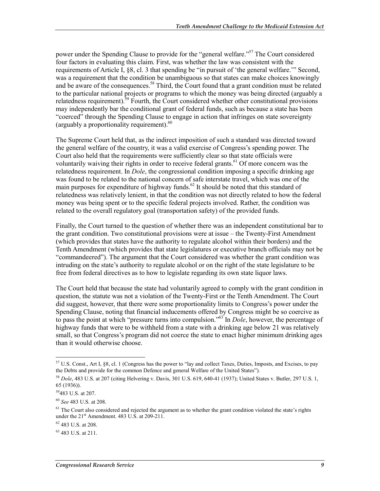power under the Spending Clause to provide for the "general welfare."<sup>57</sup> The Court considered four factors in evaluating this claim. First, was whether the law was consistent with the requirements of Article I, §8, cl. 3 that spending be "in pursuit of 'the general welfare.'" Second, was a requirement that the condition be unambiguous so that states can make choices knowingly and be aware of the consequences.<sup>58</sup> Third, the Court found that a grant condition must be related to the particular national projects or programs to which the money was being directed (arguably a relatedness requirement).<sup>59</sup> Fourth, the Court considered whether other constitutional provisions may independently bar the conditional grant of federal funds, such as because a state has been "coerced" through the Spending Clause to engage in action that infringes on state sovereignty (arguably a proportionality requirement). $^{60}$ 

The Supreme Court held that, as the indirect imposition of such a standard was directed toward the general welfare of the country, it was a valid exercise of Congress's spending power. The Court also held that the requirements were sufficiently clear so that state officials were voluntarily waiving their rights in order to receive federal grants.<sup>61</sup> Of more concern was the relatedness requirement. In *Dole*, the congressional condition imposing a specific drinking age was found to be related to the national concern of safe interstate travel, which was one of the main purposes for expenditure of highway funds.<sup>62</sup> It should be noted that this standard of relatedness was relatively lenient, in that the condition was not directly related to how the federal money was being spent or to the specific federal projects involved. Rather, the condition was related to the overall regulatory goal (transportation safety) of the provided funds.

Finally, the Court turned to the question of whether there was an independent constitutional bar to the grant condition. Two constitutional provisions were at issue – the Twenty-First Amendment (which provides that states have the authority to regulate alcohol within their borders) and the Tenth Amendment (which provides that state legislatures or executive branch officials may not be "commandeered"). The argument that the Court considered was whether the grant condition was intruding on the state's authority to regulate alcohol or on the right of the state legislature to be free from federal directives as to how to legislate regarding its own state liquor laws.

The Court held that because the state had voluntarily agreed to comply with the grant condition in question, the statute was not a violation of the Twenty-First or the Tenth Amendment. The Court did suggest, however, that there were some proportionality limits to Congress's power under the Spending Clause, noting that financial inducements offered by Congress might be so coercive as to pass the point at which "pressure turns into compulsion."63 In *Dole*, however, the percentage of highway funds that were to be withheld from a state with a drinking age below 21 was relatively small, so that Congress's program did not coerce the state to enact higher minimum drinking ages than it would otherwise choose.

<sup>57</sup> U.S. Const., Art I, §8, cl. 1 (Congress has the power to "lay and collect Taxes, Duties, Imposts, and Excises, to pay the Debts and provide for the common Defence and general Welfare of the United States").

<sup>58</sup> *Dole*, 483 U.S. at 207 (citing Helvering v. Davis, 301 U.S. 619, 640-41 (1937); United States v. Butler, 297 U.S. 1, 65 (1936)).

<sup>59483</sup> U.S. at 207.

<sup>60</sup> *See* 483 U.S. at 208.

 $<sup>61</sup>$  The Court also considered and rejected the argument as to whether the grant condition violated the state's rights</sup> under the 21<sup>st</sup> Amendment. 483 U.S. at 209-211.

 $62$  483 U.S. at 208.

<sup>63 483</sup> U.S. at 211.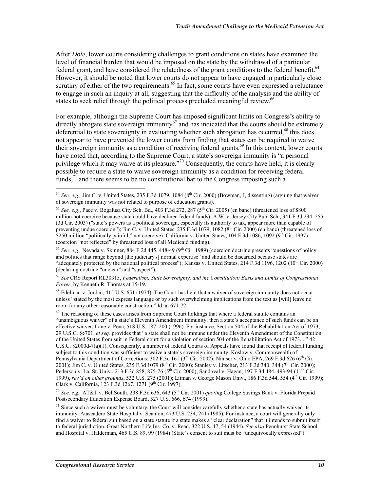After *Dole*, lower courts considering challenges to grant conditions on states have examined the level of financial burden that would be imposed on the state by the withdrawal of a particular federal grant, and have considered the relatedness of the grant conditions to the federal benefit.<sup>64</sup> However, it should be noted that lower courts do not appear to have engaged in particularly close scrutiny of either of the two requirements.<sup>65</sup> In fact, some courts have even expressed a reluctance to engage in such an inquiry at all, suggesting that the difficulty of the analysis and the ability of states to seek relief through the political process precluded meaningful review.<sup>66</sup>

For example, although the Supreme Court has imposed significant limits on Congress's ability to directly abrogate state sovereign immunity<sup>67</sup> and has indicated that the courts should be extremely deferential to state sovereignty in evaluating whether such abrogation has occurred,<sup>68</sup> this does not appear to have prevented the lower courts from finding that states can be required to waive their sovereign immunity as a condition of receiving federal grants.<sup>69</sup> In this context, lower courts have noted that, according to the Supreme Court, a state's sovereign immunity is "a personal privilege which it may waive at its pleasure."<sup>70</sup> Consequently, the courts have held, it is clearly possible to require a state to waive sovereign immunity as a condition for receiving federal funds,  $\frac{71}{1}$  and there seems to be no constitutional bar to the Congress imposing such a

<sup>&</sup>lt;u>.</u>  $^{64}$  *See, e.g.,* Jim C. v. United States, 235 F.3d 1079, 1084 ( $8^{th}$  Cir. 2000) (Bowman, J, dissenting) (arguing that waiver of sovereign immunity was not related to purpose of education grants).

<sup>&</sup>lt;sup>65</sup> *See, e.g.*, Pace v. Bogalusa City Sch. Bd., 403 F.3d 272, 287 ( $5<sup>th</sup>$  Cir. 2005) (en banc) (threatened loss of \$800 million not coercive because state could have declined federal funds); A.W. v. Jersey City Pub. Sch., 341 F.3d 234, 255 (3d Cir. 2003) ("state's powers as a political sovereign, especially its authority to tax, appear more than capable of preventing undue coercion"); Jim C. v. United States,  $235$  F.3d 1079, 1082 ( $8^{th}$  Cir. 2000) (en banc) (threatened loss of \$250 million "politically painful," not coercive); California v. United States,  $104$  F.3d  $1086$ ,  $1092$  ( $9<sup>th</sup>$  Cir. 1997) (coercion "not reflected" by threatened loss of all Medicaid funding).

<sup>66</sup> *See, e.g.,* Nevada v. Skinner, 884 F.2d 445, 448-49 (9th Cir. 1989) (coercion doctrine presents "questions of policy and politics that range beyond [the judiciary's] normal expertise" and should be discarded because states are "adequately protected by the national political process"); Kansas v. United States, 214 F.3d 1196, 1202 (10<sup>th</sup> Cir. 2000) (declaring doctrine "unclear" and "suspect").

<sup>67</sup> *See* CRS Report RL30315, *Federalism, State Sovereignty, and the Constitution: Basis and Limits of Congressional Power*, by Kenneth R. Thomas at 15-19.

 $68$  Edelman v. Jordan, 415 U.S. 651 (1974). The Court has held that a waiver of sovereign immunity does not occur unless "stated by the most express language or by such overwhelming implications from the text as [will] leave no room for any other reasonable construction." Id. at 671-72.

<sup>&</sup>lt;sup>69</sup> The reasoning of these cases arises from Supreme Court holdings that where a federal statute contains an "unambiguous waiver" of a state's Eleventh Amendment immunity, then a state's acceptance of such funds can be an effective waiver. Lane v. Pena, 518 U.S. 187, 200 (1996). For instance, Section 504 of the Rehabilitation Act of 1973, 29 U.S.C. §§701, *et seq.* provides that "a state shall not be immune under the Eleventh Amendment of the Constitution of the United States from suit in Federal court for a violation of section 504 of the Rehabilitation Act of 1973...." 42 U.S.C. §2000d-7(a)(1). Consequently, a number of federal Courts of Appeals have found that receipt of federal funding subject to this condition was sufficient to waive a state's sovereign immunity. Koslow v. Commonwealth of Pennsylvania Department of Corrections; 302 F.3d 161 (3<sup>rd</sup> Cir. 2002); Nihiser v. Ohio EPA, 269 F.3d 626 (6<sup>th</sup> Cir. 2001); Jim C. v. United States, 235 F.3d 1079 (8<sup>th</sup> Cir. 2000); Stanley v. Litscher, 213 F.3d 340, 344 (7<sup>th</sup> Cir. 2000); Pederson v. La. St. Univ., 213 F.3d 858, 875-76 (5<sup>th</sup> Cir. 2000); Sandoval v. Hagan, 197 F.3d 484, 493-94 (11<sup>th</sup> Cir. 1999), *rev'd on other grounds*, 532 U.S. 275 (2001); Litman v. George Mason Univ., 186 F.3d 544, 554 (4th Cir. 1999); Clark v. California, 123 F.3d 1267, 1271 (9th Cir. 1997).

<sup>70</sup> *See, e.g.,* AT&T v. BellSouth, 238 F.3d 636, 643 (5th Cir. 2001) *quoting* College Savings Bank v. Florida Prepaid Postsecondary Education Expense Board, 527 U.S. 666, 674 (1999).

 $71$  Since such a waiver must be voluntary, the Court will consider carefully whether a state has actually waived its immunity. Atascadero State Hospital v. Scanlon, 473 U.S. 234, 241 (1985). For instance, a court will generally only find a waiver to federal suit based on a state statute if a state makes a "clear declaration" that it intends to submit itself to federal jurisdiction. Great Northern Life Ins. Co. v. Read, 322 U.S. 47, 54 (1944). *See also* Pennhurst State School and Hospital v. Halderman, 465 U.S. 89, 99 (1984) (State's consent to suit must be "unequivocally expressed").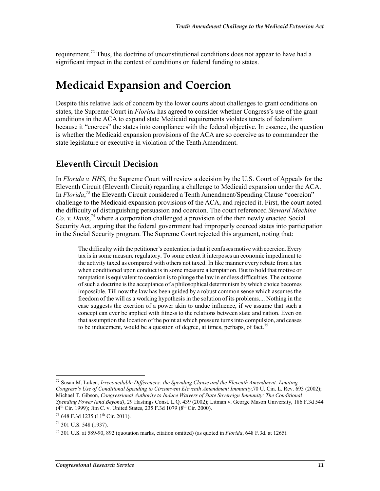requirement.<sup>72</sup> Thus, the doctrine of unconstitutional conditions does not appear to have had a significant impact in the context of conditions on federal funding to states.

### **Medicaid Expansion and Coercion**

Despite this relative lack of concern by the lower courts about challenges to grant conditions on states, the Supreme Court in *Florida* has agreed to consider whether Congress's use of the grant conditions in the ACA to expand state Medicaid requirements violates tenets of federalism because it "coerces" the states into compliance with the federal objective. In essence, the question is whether the Medicaid expansion provisions of the ACA are so coercive as to commandeer the state legislature or executive in violation of the Tenth Amendment.

#### **Eleventh Circuit Decision**

In *Florida v. HHS,* the Supreme Court will review a decision by the U.S. Court of Appeals for the Eleventh Circuit (Eleventh Circuit) regarding a challenge to Medicaid expansion under the ACA. In *Florida*,<sup>73</sup> the Eleventh Circuit considered a Tenth Amendment/Spending Clause "coercion" challenge to the Medicaid expansion provisions of the ACA, and rejected it. First, the court noted the difficulty of distinguishing persuasion and coercion. The court referenced *Steward Machine Co. v. Davis*, 74 where a corporation challenged a provision of the then newly enacted Social Security Act, arguing that the federal government had improperly coerced states into participation in the Social Security program. The Supreme Court rejected this argument, noting that:

The difficulty with the petitioner's contention is that it confuses motive with coercion. Every tax is in some measure regulatory. To some extent it interposes an economic impediment to the activity taxed as compared with others not taxed. In like manner every rebate from a tax when conditioned upon conduct is in some measure a temptation. But to hold that motive or temptation is equivalent to coercion is to plunge the law in endless difficulties. The outcome of such a doctrine is the acceptance of a philosophical determinism by which choice becomes impossible. Till now the law has been guided by a robust common sense which assumes the freedom of the will as a working hypothesis in the solution of its problems.... Nothing in the case suggests the exertion of a power akin to undue influence, if we assume that such a concept can ever be applied with fitness to the relations between state and nation. Even on that assumption the location of the point at which pressure turns into compulsion, and ceases to be inducement, would be a question of degree, at times, perhaps, of fact.<sup>75</sup>

<sup>1</sup> 72 Susan M. Luken, *Irreconcilable Differences: the Spending Clause and the Eleventh Amendment: Limiting Congress's Use of Conditional Spending to Circumvent Eleventh Amendment Immunity*,70 U. Cin. L. Rev. 693 (2002); Michael T. Gibson, *Congressional Authority to Induce Waivers of State Sovereign Immunity: The Conditional Spending Power (and Beyond)*, 29 Hastings Const. L.Q. 439 (2002); Litman v. George Mason University, 186 F.3d 544  $(4<sup>th</sup> Cir. 1999)$ ; Jim C. v. United States, 235 F.3d 1079 (8<sup>th</sup> Cir. 2000).

<sup>73 648</sup> F.3d 1235 (11<sup>th</sup> Cir. 2011).

<sup>74 301</sup> U.S. 548 (1937).

<sup>75 301</sup> U.S. at 589-90, 892 (quotation marks, citation omitted) (as quoted in *Florida*, 648 F.3d. at 1265).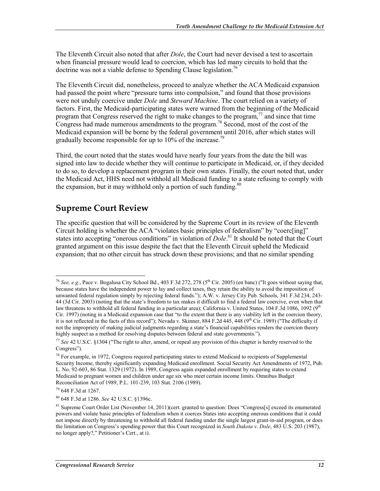The Eleventh Circuit also noted that after *Dole*, the Court had never devised a test to ascertain when financial pressure would lead to coercion, which has led many circuits to hold that the doctrine was not a viable defense to Spending Clause legislation.<sup>76</sup>

The Eleventh Circuit did, nonetheless, proceed to analyze whether the ACA Medicaid expansion had passed the point where "pressure turns into compulsion," and found that those provisions were not unduly coercive under *Dole* and *Steward Machine*. The court relied on a variety of factors. First, the Medicaid-participating states were warned from the beginning of the Medicaid program that Congress reserved the right to make changes to the program,  $^{77}$  and since that time Congress had made numerous amendments to the program.<sup>78</sup> Second, most of the cost of the Medicaid expansion will be borne by the federal government until 2016, after which states will gradually become responsible for up to  $10\%$  of the increase.<sup>79</sup>

Third, the court noted that the states would have nearly four years from the date the bill was signed into law to decide whether they will continue to participate in Medicaid, or, if they decided to do so, to develop a replacement program in their own states. Finally, the court noted that, under the Medicaid Act, HHS need not withhold all Medicaid funding to a state refusing to comply with the expansion, but it may withhold only a portion of such funding.<sup>80</sup>

#### **Supreme Court Review**

The specific question that will be considered by the Supreme Court in its review of the Eleventh Circuit holding is whether the ACA "violates basic principles of federalism" by "coerc[ing]" states into accepting "onerous conditions" in violation of *Dole*. 81 It should be noted that the Court granted argument on this issue despite the fact that the Eleventh Circuit upheld the Medicaid expansion; that no other circuit has struck down these provisions; and that no similar spending

<sup>&</sup>lt;sup>76</sup> See, e.g., Pace v. Bogalusa City School Bd., 403 F.3d 272, 278 (5<sup>th</sup> Cir. 2005) (en banc) ("It goes without saying that, because states have the independent power to lay and collect taxes, they retain the ability to avoid the imposition of unwanted federal regulation simply by rejecting federal funds."); A.W. v. Jersey City Pub. Schools, 341 F.3d 234, 243- 44 (3d Cir. 2003) (noting that the state's freedom to tax makes it difficult to find a federal law coercive, even when that law threatens to withhold all federal funding in a particular area); California v. United States, 104 F.3d 1086, 1092 ( $9<sup>th</sup>$ Cir. 1997) (noting in a Medicaid expansion case that "to the extent that there is any viability left in the coercion theory, it is not reflected in the facts of this record"); Nevada v. Skinner, 884 F.2d 445, 448 (9<sup>th</sup> Cir. 1989) ("The difficulty if not the impropriety of making judicial judgments regarding a state's financial capabilities renders the coercion theory highly suspect as a method for resolving disputes between federal and state governments.").

<sup>77</sup> *See* 42 U.S.C. §1304 ("The right to alter, amend, or repeal any provision of this chapter is hereby reserved to the Congress").

<sup>&</sup>lt;sup>78</sup> For example, in 1972, Congress required participating states to extend Medicaid to recipients of Supplemental Security Income, thereby significantly expanding Medicaid enrollment. Social Security Act Amendments of 1972, Pub. L. No. 92-603, 86 Stat. 1329 (1972). In 1989, Congress again expanded enrollment by requiring states to extend Medicaid to pregnant women and children under age six who meet certain income limits. Omnibus Budget Reconciliation Act of 1989, P.L. 101-239, 103 Stat. 2106 (1989).

<sup>79 648</sup> F.3d at 1267.

<sup>80 648</sup> F.3d at 1286. *See* 42 U.S.C. §1396c.

<sup>81</sup> Supreme Court Order List (November 14, 2011)(cert. granted to question: Does "Congress[s] exceed its enumerated powers and violate basic principles of federalism when it coerces States into accepting onerous conditions that it could not impose directly by threatening to withhold all federal funding under the single largest grant-in-aid program, or does the limitation on Congress's spending power that this Court recognized in *South Dakota v. Dole*, 483 U.S. 203 (1987), no longer apply?," Petitioner's Cert., at i).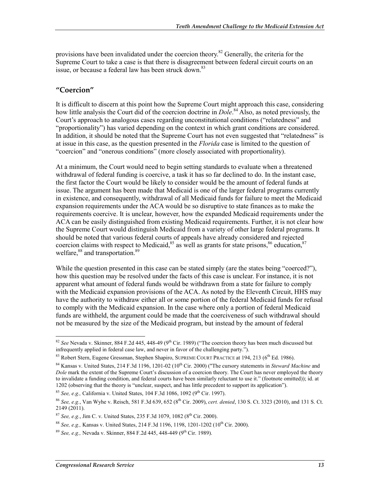provisions have been invalidated under the coercion theory.<sup>82</sup> Generally, the criteria for the Supreme Court to take a case is that there is disagreement between federal circuit courts on an issue, or because a federal law has been struck down.<sup>83</sup>

#### **"Coercion"**

It is difficult to discern at this point how the Supreme Court might approach this case, considering how little analysis the Court did of the coercion doctrine in *Dole*. 84 Also, as noted previously, the Court's approach to analogous cases regarding unconstitutional conditions ("relatedness" and "proportionality") has varied depending on the context in which grant conditions are considered. In addition, it should be noted that the Supreme Court has not even suggested that "relatedness" is at issue in this case, as the question presented in the *Florida* case is limited to the question of "coercion" and "onerous conditions" (more closely associated with proportionality).

At a minimum, the Court would need to begin setting standards to evaluate when a threatened withdrawal of federal funding is coercive, a task it has so far declined to do. In the instant case, the first factor the Court would be likely to consider would be the amount of federal funds at issue. The argument has been made that Medicaid is one of the larger federal programs currently in existence, and consequently, withdrawal of all Medicaid funds for failure to meet the Medicaid expansion requirements under the ACA would be so disruptive to state finances as to make the requirements coercive. It is unclear, however, how the expanded Medicaid requirements under the ACA can be easily distinguished from existing Medicaid requirements. Further, it is not clear how the Supreme Court would distinguish Medicaid from a variety of other large federal programs. It should be noted that various federal courts of appeals have already considered and rejected coercion claims with respect to Medicaid,  $85$  as well as grants for state prisons,  $86$  education,  $87$ welfare,<sup>88</sup> and transportation.<sup>89</sup>

While the question presented in this case can be stated simply (are the states being "coerced?"), how this question may be resolved under the facts of this case is unclear. For instance, it is not apparent what amount of federal funds would be withdrawn from a state for failure to comply with the Medicaid expansion provisions of the ACA. As noted by the Eleventh Circuit, HHS may have the authority to withdraw either all or some portion of the federal Medicaid funds for refusal to comply with the Medicaid expansion. In the case where only a portion of federal Medicaid funds are withheld, the argument could be made that the coerciveness of such withdrawal should not be measured by the size of the Medicaid program, but instead by the amount of federal

<u>.</u>

<sup>82</sup> *See* Nevada v. Skinner, 884 F.2d 445, 448-49 (9th Cir. 1989) ("The coercion theory has been much discussed but infrequently applied in federal case law, and never in favor of the challenging party.").

 $83$  Robert Stern, Eugene Gressman, Stephen Shapiro, SUPREME COURT PRACTICE at 194, 213 ( $6<sup>th</sup>$  Ed. 1986).

<sup>&</sup>lt;sup>84</sup> Kansas v. United States, 214 F.3d 1196, 1201-02 (10<sup>th</sup> Cir. 2000) ("The cursory statements in *Steward Machine* and *Dole* mark the extent of the Supreme Court's discussion of a coercion theory. The Court has never employed the theory to invalidate a funding condition, and federal courts have been similarly reluctant to use it." (footnote omitted)); id. at 1202 (observing that the theory is "unclear, suspect, and has little precedent to support its application").

<sup>&</sup>lt;sup>85</sup> *See, e.g., California v. United States, 104 F.3d 1086, 1092 (9<sup>th</sup> Cir. 1997).* 

<sup>86</sup> *See, e.g.*, Van Wyhe v. Reisch, 581 F.3d 639, 652 (8th Cir. 2009), *cert. denied*, 130 S. Ct. 3323 (2010), and 131 S. Ct. 2149 (2011).

<sup>&</sup>lt;sup>87</sup> *See, e.g.*, Jim C. v. United States, 235 F.3d 1079, 1082 (8<sup>th</sup> Cir. 2000).

<sup>&</sup>lt;sup>88</sup> *See, e.g.*, Kansas v. United States, 214 F.3d 1196, 1198, 1201-1202 (10<sup>th</sup> Cir. 2000).

<sup>89</sup> *See, e.g.,* Nevada v. Skinner, 884 F.2d 445, 448-449 (9th Cir. 1989).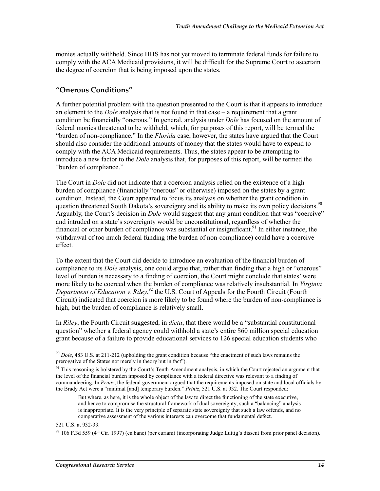monies actually withheld. Since HHS has not yet moved to terminate federal funds for failure to comply with the ACA Medicaid provisions, it will be difficult for the Supreme Court to ascertain the degree of coercion that is being imposed upon the states.

#### **"Onerous Conditions"**

A further potential problem with the question presented to the Court is that it appears to introduce an element to the *Dole* analysis that is not found in that case – a requirement that a grant condition be financially "onerous." In general, analysis under *Dole* has focused on the amount of federal monies threatened to be withheld, which, for purposes of this report, will be termed the "burden of non-compliance." In the *Florida* case, however, the states have argued that the Court should also consider the additional amounts of money that the states would have to expend to comply with the ACA Medicaid requirements. Thus, the states appear to be attempting to introduce a new factor to the *Dole* analysis that, for purposes of this report, will be termed the "burden of compliance."

The Court in *Dole* did not indicate that a coercion analysis relied on the existence of a high burden of compliance (financially "onerous" or otherwise) imposed on the states by a grant condition. Instead, the Court appeared to focus its analysis on whether the grant condition in question threatened South Dakota's sovereignty and its ability to make its own policy decisions.<sup>90</sup> Arguably, the Court's decision in *Dole* would suggest that any grant condition that was "coercive" and intruded on a state's sovereignty would be unconstitutional, regardless of whether the financial or other burden of compliance was substantial or insignificant.<sup>91</sup> In either instance, the withdrawal of too much federal funding (the burden of non-compliance) could have a coercive effect.

To the extent that the Court did decide to introduce an evaluation of the financial burden of compliance to its *Dole* analysis, one could argue that, rather than finding that a high or "onerous" level of burden is necessary to a finding of coercion, the Court might conclude that states' were more likely to be coerced when the burden of compliance was relatively insubstantial. In *Virginia*  Department of Education v. Riley,<sup>92</sup> the U.S. Court of Appeals for the Fourth Circuit (Fourth Circuit) indicated that coercion is more likely to be found where the burden of non-compliance is high, but the burden of compliance is relatively small.

In *Riley*, the Fourth Circuit suggested, in *dicta*, that there would be a "substantial constitutional question" whether a federal agency could withhold a state's entire \$60 million special education grant because of a failure to provide educational services to 126 special education students who

521 U.S. at 932-33.

<sup>&</sup>lt;sup>90</sup> *Dole*, 483 U.S. at 211-212 (upholding the grant condition because "the enactment of such laws remains the prerogative of the States not merely in theory but in fact").

 $91$  This reasoning is bolstered by the Court's Tenth Amendment analysis, in which the Court rejected an argument that the level of the financial burden imposed by compliance with a federal directive was relevant to a finding of commandeering. In *Printz*, the federal government argued that the requirements imposed on state and local officials by the Brady Act were a "minimal [and] temporary burden." *Printz*, 521 U.S. at 932. The Court responded:

But where, as here, it is the whole object of the law to direct the functioning of the state executive, and hence to compromise the structural framework of dual sovereignty, such a "balancing" analysis is inappropriate. It is the very principle of separate state sovereignty that such a law offends, and no comparative assessment of the various interests can overcome that fundamental defect.

 $92$  106 F.3d 559 (4<sup>th</sup> Cir. 1997) (en banc) (per curiam) (incorporating Judge Luttig's dissent from prior panel decision).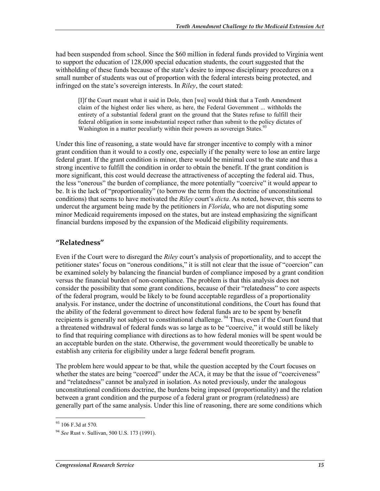had been suspended from school. Since the \$60 million in federal funds provided to Virginia went to support the education of 128,000 special education students, the court suggested that the withholding of these funds because of the state's desire to impose disciplinary procedures on a small number of students was out of proportion with the federal interests being protected, and infringed on the state's sovereign interests. In *Riley*, the court stated:

[I]f the Court meant what it said in Dole, then [we] would think that a Tenth Amendment claim of the highest order lies where, as here, the Federal Government ... withholds the entirety of a substantial federal grant on the ground that the States refuse to fulfill their federal obligation in some insubstantial respect rather than submit to the policy dictates of Washington in a matter peculiarly within their powers as sovereign States.<sup>93</sup>

Under this line of reasoning, a state would have far stronger incentive to comply with a minor grant condition than it would to a costly one, especially if the penalty were to lose an entire large federal grant. If the grant condition is minor, there would be minimal cost to the state and thus a strong incentive to fulfill the condition in order to obtain the benefit. If the grant condition is more significant, this cost would decrease the attractiveness of accepting the federal aid. Thus, the less "onerous" the burden of compliance, the more potentially "coercive" it would appear to be. It is the lack of "proportionality" (to borrow the term from the doctrine of unconstitutional conditions) that seems to have motivated the *Riley* court's *dicta*. As noted, however, this seems to undercut the argument being made by the petitioners in *Florida*, who are not disputing some minor Medicaid requirements imposed on the states, but are instead emphasizing the significant financial burdens imposed by the expansion of the Medicaid eligibility requirements.

#### **"Relatedness"**

Even if the Court were to disregard the *Riley* court's analysis of proportionality, and to accept the petitioner states' focus on "onerous conditions," it is still not clear that the issue of "coercion" can be examined solely by balancing the financial burden of compliance imposed by a grant condition versus the financial burden of non-compliance. The problem is that this analysis does not consider the possibility that some grant conditions, because of their "relatedness" to core aspects of the federal program, would be likely to be found acceptable regardless of a proportionality analysis. For instance, under the doctrine of unconstitutional conditions, the Court has found that the ability of the federal government to direct how federal funds are to be spent by benefit recipients is generally not subject to constitutional challenge.<sup>94</sup> Thus, even if the Court found that a threatened withdrawal of federal funds was so large as to be "coercive," it would still be likely to find that requiring compliance with directions as to how federal monies will be spent would be an acceptable burden on the state. Otherwise, the government would theoretically be unable to establish any criteria for eligibility under a large federal benefit program.

The problem here would appear to be that, while the question accepted by the Court focuses on whether the states are being "coerced" under the ACA, it may be that the issue of "coerciveness" and "relatedness" cannot be analyzed in isolation. As noted previously, under the analogous unconstitutional conditions doctrine, the burdens being imposed (proportionality) and the relation between a grant condition and the purpose of a federal grant or program (relatedness) are generally part of the same analysis. Under this line of reasoning, there are some conditions which

<sup>&</sup>lt;sup>93</sup> 106 F.3d at 570.

<sup>94</sup> *See* Rust v. Sullivan, 500 U.S. 173 (1991).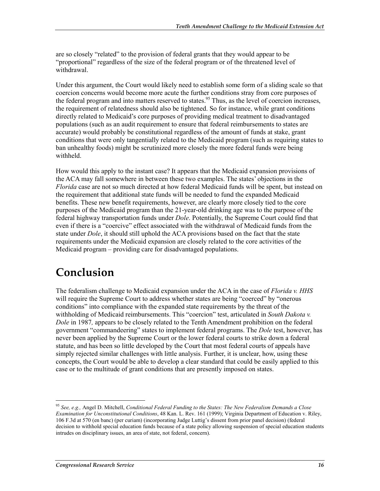are so closely "related" to the provision of federal grants that they would appear to be "proportional" regardless of the size of the federal program or of the threatened level of withdrawal.

Under this argument, the Court would likely need to establish some form of a sliding scale so that coercion concerns would become more acute the further conditions stray from core purposes of the federal program and into matters reserved to states.<sup>95</sup> Thus, as the level of coercion increases, the requirement of relatedness should also be tightened. So for instance, while grant conditions directly related to Medicaid's core purposes of providing medical treatment to disadvantaged populations (such as an audit requirement to ensure that federal reimbursements to states are accurate) would probably be constitutional regardless of the amount of funds at stake, grant conditions that were only tangentially related to the Medicaid program (such as requiring states to ban unhealthy foods) might be scrutinized more closely the more federal funds were being withheld.

How would this apply to the instant case? It appears that the Medicaid expansion provisions of the ACA may fall somewhere in between these two examples. The states' objections in the *Florida* case are not so much directed at how federal Medicaid funds will be spent, but instead on the requirement that additional state funds will be needed to fund the expanded Medicaid benefits. These new benefit requirements, however, are clearly more closely tied to the core purposes of the Medicaid program than the 21-year-old drinking age was to the purpose of the federal highway transportation funds under *Dole*. Potentially, the Supreme Court could find that even if there is a "coercive" effect associated with the withdrawal of Medicaid funds from the state under *Dole*, it should still uphold the ACA provisions based on the fact that the state requirements under the Medicaid expansion are closely related to the core activities of the Medicaid program – providing care for disadvantaged populations.

## **Conclusion**

The federalism challenge to Medicaid expansion under the ACA in the case of *Florida v. HHS* will require the Supreme Court to address whether states are being "coerced" by "onerous conditions" into compliance with the expanded state requirements by the threat of the withholding of Medicaid reimbursements. This "coercion" test, articulated in *South Dakota v. Dole* in 1987*,* appears to be closely related to the Tenth Amendment prohibition on the federal government "commandeering" states to implement federal programs. The *Dole* test, however, has never been applied by the Supreme Court or the lower federal courts to strike down a federal statute, and has been so little developed by the Court that most federal courts of appeals have simply rejected similar challenges with little analysis. Further, it is unclear, how, using these concepts, the Court would be able to develop a clear standard that could be easily applied to this case or to the multitude of grant conditions that are presently imposed on states.

<sup>95</sup> *See, e.g.,* Angel D. Mitchell, *Conditional Federal Funding to the States: The New Federalism Demands a Close Examination for Unconstitutional Conditions*, 48 Kan. L. Rev. 161 (1999); Virginia Department of Education v. Riley, 106 F.3d at 570 (en banc) (per curiam) (incorporating Judge Luttig's dissent from prior panel decision) (federal decision to withhold special education funds because of a state policy allowing suspension of special education students intrudes on disciplinary issues, an area of state, not federal, concern).